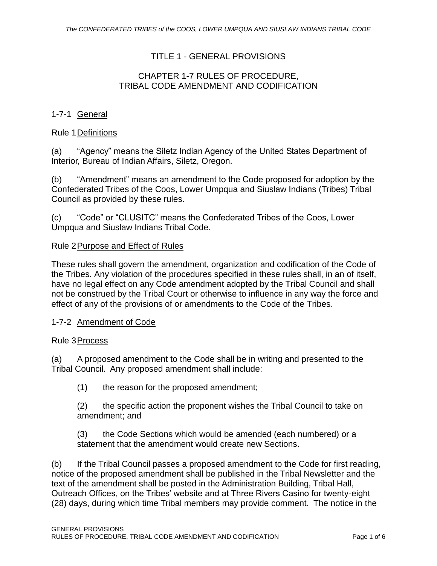# TITLE 1 - GENERAL PROVISIONS

## CHAPTER 1-7 RULES OF PROCEDURE, TRIBAL CODE AMENDMENT AND CODIFICATION

# 1-7-1 General

## Rule 1Definitions

(a) "Agency" means the Siletz Indian Agency of the United States Department of Interior, Bureau of Indian Affairs, Siletz, Oregon.

(b) "Amendment" means an amendment to the Code proposed for adoption by the Confederated Tribes of the Coos, Lower Umpqua and Siuslaw Indians (Tribes) Tribal Council as provided by these rules.

(c) "Code" or "CLUSITC" means the Confederated Tribes of the Coos, Lower Umpqua and Siuslaw Indians Tribal Code.

#### Rule 2Purpose and Effect of Rules

These rules shall govern the amendment, organization and codification of the Code of the Tribes. Any violation of the procedures specified in these rules shall, in an of itself, have no legal effect on any Code amendment adopted by the Tribal Council and shall not be construed by the Tribal Court or otherwise to influence in any way the force and effect of any of the provisions of or amendments to the Code of the Tribes.

#### 1-7-2 Amendment of Code

#### Rule 3Process

(a) A proposed amendment to the Code shall be in writing and presented to the Tribal Council. Any proposed amendment shall include:

(1) the reason for the proposed amendment;

(2) the specific action the proponent wishes the Tribal Council to take on amendment; and

(3) the Code Sections which would be amended (each numbered) or a statement that the amendment would create new Sections.

(b) If the Tribal Council passes a proposed amendment to the Code for first reading, notice of the proposed amendment shall be published in the Tribal Newsletter and the text of the amendment shall be posted in the Administration Building, Tribal Hall, Outreach Offices, on the Tribes' website and at Three Rivers Casino for twenty-eight (28) days, during which time Tribal members may provide comment. The notice in the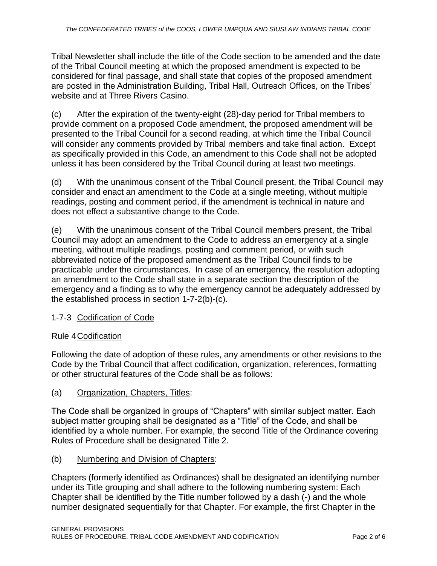Tribal Newsletter shall include the title of the Code section to be amended and the date of the Tribal Council meeting at which the proposed amendment is expected to be considered for final passage, and shall state that copies of the proposed amendment are posted in the Administration Building, Tribal Hall, Outreach Offices, on the Tribes' website and at Three Rivers Casino.

(c) After the expiration of the twenty-eight (28)-day period for Tribal members to provide comment on a proposed Code amendment, the proposed amendment will be presented to the Tribal Council for a second reading, at which time the Tribal Council will consider any comments provided by Tribal members and take final action. Except as specifically provided in this Code, an amendment to this Code shall not be adopted unless it has been considered by the Tribal Council during at least two meetings.

(d) With the unanimous consent of the Tribal Council present, the Tribal Council may consider and enact an amendment to the Code at a single meeting, without multiple readings, posting and comment period, if the amendment is technical in nature and does not effect a substantive change to the Code.

(e) With the unanimous consent of the Tribal Council members present, the Tribal Council may adopt an amendment to the Code to address an emergency at a single meeting, without multiple readings, posting and comment period, or with such abbreviated notice of the proposed amendment as the Tribal Council finds to be practicable under the circumstances. In case of an emergency, the resolution adopting an amendment to the Code shall state in a separate section the description of the emergency and a finding as to why the emergency cannot be adequately addressed by the established process in section 1-7-2(b)-(c).

# 1-7-3 Codification of Code

# Rule 4Codification

Following the date of adoption of these rules, any amendments or other revisions to the Code by the Tribal Council that affect codification, organization, references, formatting or other structural features of the Code shall be as follows:

# (a) Organization, Chapters, Titles:

The Code shall be organized in groups of "Chapters" with similar subject matter. Each subject matter grouping shall be designated as a "Title" of the Code, and shall be identified by a whole number. For example, the second Title of the Ordinance covering Rules of Procedure shall be designated Title 2.

# (b) Numbering and Division of Chapters:

Chapters (formerly identified as Ordinances) shall be designated an identifying number under its Title grouping and shall adhere to the following numbering system: Each Chapter shall be identified by the Title number followed by a dash (-) and the whole number designated sequentially for that Chapter. For example, the first Chapter in the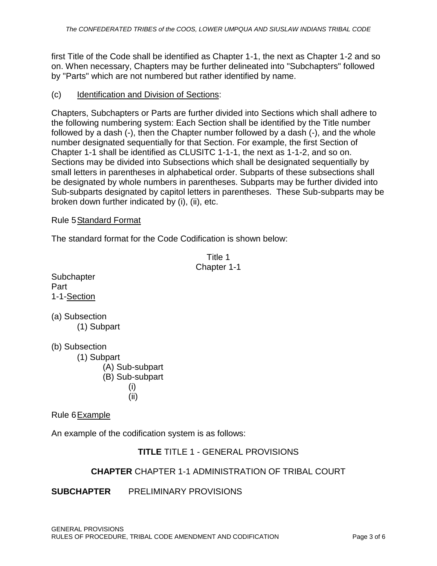first Title of the Code shall be identified as Chapter 1-1, the next as Chapter 1-2 and so on. When necessary, Chapters may be further delineated into "Subchapters" followed by "Parts" which are not numbered but rather identified by name.

#### (c) Identification and Division of Sections:

Chapters, Subchapters or Parts are further divided into Sections which shall adhere to the following numbering system: Each Section shall be identified by the Title number followed by a dash (-), then the Chapter number followed by a dash (-), and the whole number designated sequentially for that Section. For example, the first Section of Chapter 1-1 shall be identified as CLUSITC 1-1-1, the next as 1-1-2, and so on. Sections may be divided into Subsections which shall be designated sequentially by small letters in parentheses in alphabetical order. Subparts of these subsections shall be designated by whole numbers in parentheses. Subparts may be further divided into Sub-subparts designated by capitol letters in parentheses. These Sub-subparts may be broken down further indicated by (i), (ii), etc.

#### Rule 5Standard Format

The standard format for the Code Codification is shown below:

Title 1 Chapter 1-1 **Subchapter** 1-1-Section (a) Subsection (1) Subpart (b) Subsection (1) Subpart (A) Sub-subpart

(B) Sub-subpart (i) (ii)

Rule 6Example

Part

An example of the codification system is as follows:

# **TITLE** TITLE 1 - GENERAL PROVISIONS

# **CHAPTER** CHAPTER 1-1 ADMINISTRATION OF TRIBAL COURT

# **SUBCHAPTER** PRELIMINARY PROVISIONS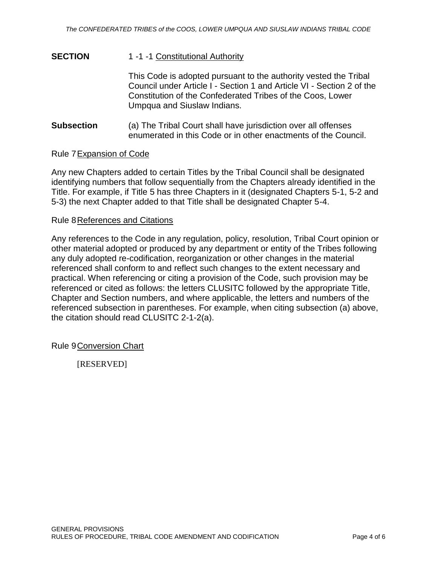# **SECTION** 1 -1 -1 Constitutional Authority

This Code is adopted pursuant to the authority vested the Tribal Council under Article I - Section 1 and Article VI - Section 2 of the Constitution of the Confederated Tribes of the Coos, Lower Umpqua and Siuslaw Indians.

**Subsection** (a) The Tribal Court shall have jurisdiction over all offenses enumerated in this Code or in other enactments of the Council.

#### Rule 7Expansion of Code

Any new Chapters added to certain Titles by the Tribal Council shall be designated identifying numbers that follow sequentially from the Chapters already identified in the Title. For example, if Title 5 has three Chapters in it (designated Chapters 5-1, 5-2 and 5-3) the next Chapter added to that Title shall be designated Chapter 5-4.

#### Rule 8References and Citations

Any references to the Code in any regulation, policy, resolution, Tribal Court opinion or other material adopted or produced by any department or entity of the Tribes following any duly adopted re-codification, reorganization or other changes in the material referenced shall conform to and reflect such changes to the extent necessary and practical. When referencing or citing a provision of the Code, such provision may be referenced or cited as follows: the letters CLUSITC followed by the appropriate Title, Chapter and Section numbers, and where applicable, the letters and numbers of the referenced subsection in parentheses. For example, when citing subsection (a) above, the citation should read CLUSITC 2-1-2(a).

Rule 9Conversion Chart

[RESERVED]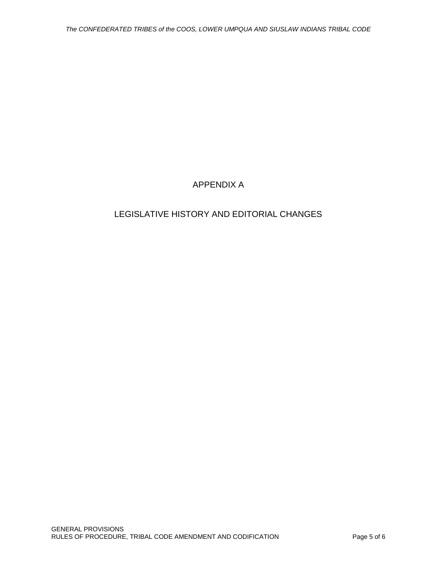# APPENDIX A

# LEGISLATIVE HISTORY AND EDITORIAL CHANGES